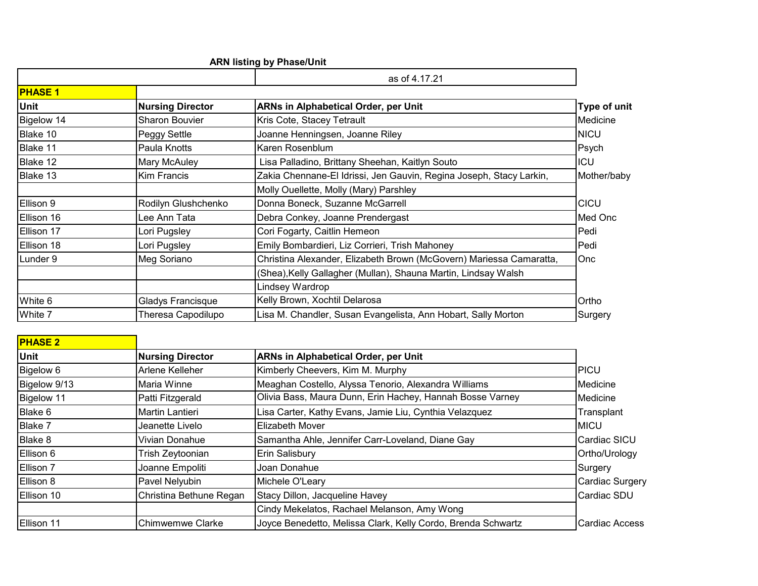## **ARN listing by Phase/Unit**

 $\blacksquare$ 

|                |                         | as of 4.17.21                                                       |                     |
|----------------|-------------------------|---------------------------------------------------------------------|---------------------|
| <b>PHASE 1</b> |                         |                                                                     |                     |
| Unit           | <b>Nursing Director</b> | <b>ARNs in Alphabetical Order, per Unit</b>                         | <b>Type of unit</b> |
| Bigelow 14     | <b>Sharon Bouvier</b>   | Kris Cote, Stacey Tetrault                                          | Medicine            |
| Blake 10       | Peggy Settle            | Joanne Henningsen, Joanne Riley                                     | <b>NICU</b>         |
| Blake 11       | Paula Knotts            | Karen Rosenblum                                                     | Psych               |
| Blake 12       | <b>Mary McAuley</b>     | Lisa Palladino, Brittany Sheehan, Kaitlyn Souto                     | <b>ICU</b>          |
| Blake 13       | <b>Kim Francis</b>      | Zakia Chennane-El Idrissi, Jen Gauvin, Regina Joseph, Stacy Larkin, | Mother/baby         |
|                |                         | Molly Ouellette, Molly (Mary) Parshley                              |                     |
| Ellison 9      | Rodilyn Glushchenko     | Donna Boneck, Suzanne McGarrell                                     | <b>CICU</b>         |
| Ellison 16     | Lee Ann Tata            | Debra Conkey, Joanne Prendergast                                    | Med Onc             |
| Ellison 17     | Lori Pugsley            | Cori Fogarty, Caitlin Hemeon                                        | Pedi                |
| Ellison 18     | Lori Pugsley            | Emily Bombardieri, Liz Corrieri, Trish Mahoney                      | Pedi                |
| Lunder 9       | Meg Soriano             | Christina Alexander, Elizabeth Brown (McGovern) Mariessa Camaratta, | Onc                 |
|                |                         | (Shea), Kelly Gallagher (Mullan), Shauna Martin, Lindsay Walsh      |                     |
|                |                         | Lindsey Wardrop                                                     |                     |
| White 6        | Gladys Francisque       | Kelly Brown, Xochtil Delarosa                                       | Ortho               |
| White 7        | Theresa Capodilupo      | Lisa M. Chandler, Susan Evangelista, Ann Hobart, Sally Morton       | Surgery             |

| <b>PHASE 2</b> |                         |                                                              |                     |
|----------------|-------------------------|--------------------------------------------------------------|---------------------|
| Unit           | <b>Nursing Director</b> | <b>ARNs in Alphabetical Order, per Unit</b>                  |                     |
| Bigelow 6      | Arlene Kelleher         | Kimberly Cheevers, Kim M. Murphy                             | <b>PICU</b>         |
| Bigelow 9/13   | Maria Winne             | Meaghan Costello, Alyssa Tenorio, Alexandra Williams         | Medicine            |
| Bigelow 11     | Patti Fitzgerald        | Olivia Bass, Maura Dunn, Erin Hachey, Hannah Bosse Varney    | Medicine            |
| Blake 6        | <b>Martin Lantieri</b>  | Lisa Carter, Kathy Evans, Jamie Liu, Cynthia Velazquez       | Transplant          |
| Blake 7        | Jeanette Livelo         | <b>Elizabeth Mover</b>                                       | <b>MICU</b>         |
| Blake 8        | Vivian Donahue          | Samantha Ahle, Jennifer Carr-Loveland, Diane Gay             | <b>Cardiac SICU</b> |
| Ellison 6      | Trish Zeytoonian        | Erin Salisbury                                               | Ortho/Urology       |
| Ellison 7      | Joanne Empoliti         | Joan Donahue                                                 | Surgery             |
| Ellison 8      | Pavel Nelyubin          | Michele O'Leary                                              | Cardiac Surgery     |
| Ellison 10     | Christina Bethune Regan | Stacy Dillon, Jacqueline Havey                               | Cardiac SDU         |
|                |                         | Cindy Mekelatos, Rachael Melanson, Amy Wong                  |                     |
| Ellison 11     | <b>Chimwemwe Clarke</b> | Joyce Benedetto, Melissa Clark, Kelly Cordo, Brenda Schwartz | Cardiac Access      |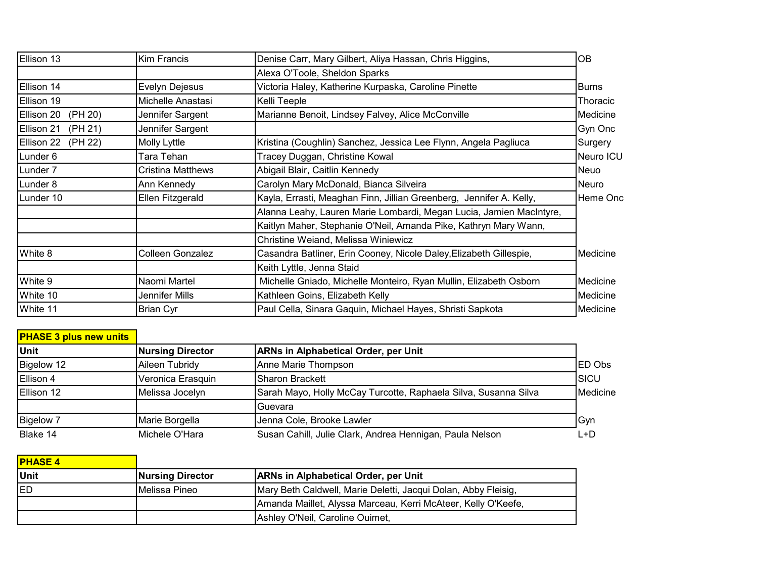| Ellison 13            | <b>Kim Francis</b> | Denise Carr, Mary Gilbert, Aliya Hassan, Chris Higgins,             | OB           |
|-----------------------|--------------------|---------------------------------------------------------------------|--------------|
|                       |                    | Alexa O'Toole, Sheldon Sparks                                       |              |
| Ellison 14            | Evelyn Dejesus     | Victoria Haley, Katherine Kurpaska, Caroline Pinette                | <b>Burns</b> |
| Ellison 19            | Michelle Anastasi  | Kelli Teeple                                                        | Thoracic     |
| (PH 20)<br>Ellison 20 | Jennifer Sargent   | Marianne Benoit, Lindsey Falvey, Alice McConville                   | Medicine     |
| Ellison 21<br>(PH 21) | Jennifer Sargent   |                                                                     | Gyn Onc      |
| Ellison 22<br>(PH 22) | Molly Lyttle       | Kristina (Coughlin) Sanchez, Jessica Lee Flynn, Angela Pagliuca     | Surgery      |
| Lunder 6              | Tara Tehan         | Tracey Duggan, Christine Kowal                                      | Neuro ICU    |
| Lunder <sub>7</sub>   | Cristina Matthews  | Abigail Blair, Caitlin Kennedy                                      | Neuo         |
| Lunder 8              | Ann Kennedy        | Carolyn Mary McDonald, Bianca Silveira                              | Neuro        |
| Lunder 10             | Ellen Fitzgerald   | Kayla, Errasti, Meaghan Finn, Jillian Greenberg, Jennifer A. Kelly, | Heme Onc     |
|                       |                    | Alanna Leahy, Lauren Marie Lombardi, Megan Lucia, Jamien MacIntyre, |              |
|                       |                    | Kaitlyn Maher, Stephanie O'Neil, Amanda Pike, Kathryn Mary Wann,    |              |
|                       |                    | Christine Weiand, Melissa Winiewicz                                 |              |
| White 8               | Colleen Gonzalez   | Casandra Batliner, Erin Cooney, Nicole Daley, Elizabeth Gillespie,  | Medicine     |
|                       |                    | Keith Lyttle, Jenna Staid                                           |              |
| White 9               | Naomi Martel       | Michelle Gniado, Michelle Monteiro, Ryan Mullin, Elizabeth Osborn   | Medicine     |
| White 10              | Jennifer Mills     | Kathleen Goins, Elizabeth Kelly                                     | Medicine     |
| White 11              | <b>Brian Cyr</b>   | Paul Cella, Sinara Gaquin, Michael Hayes, Shristi Sapkota           | Medicine     |

## **PHASE 3 plus new units**

| <b>Unit</b>      | <b>Nursing Director</b> | <b>ARNs in Alphabetical Order, per Unit</b>                     |              |
|------------------|-------------------------|-----------------------------------------------------------------|--------------|
| Bigelow 12       | Aileen Tubridy          | Anne Marie Thompson                                             | IED Obs      |
| Ellison 4        | Veronica Erasquin       | <b>ISharon Brackett</b>                                         | <b>ISICU</b> |
| Ellison 12       | Melissa Jocelyn         | Sarah Mayo, Holly McCay Turcotte, Raphaela Silva, Susanna Silva | Medicine     |
|                  |                         | Guevara                                                         |              |
| <b>Bigelow 7</b> | Marie Borgella          | Jenna Cole, Brooke Lawler                                       | <b>Gyn</b>   |
| Blake 14         | Michele O'Hara          | Susan Cahill, Julie Clark, Andrea Hennigan, Paula Nelson        | ∟+D          |

| <b>PHASE 4</b> |                         |                                                                |
|----------------|-------------------------|----------------------------------------------------------------|
| Unit           | <b>Nursing Director</b> | <b>ARNs in Alphabetical Order, per Unit</b>                    |
| <b>IED</b>     | <b>IMelissa Pineo</b>   | Mary Beth Caldwell, Marie Deletti, Jacqui Dolan, Abby Fleisig, |
|                |                         | Amanda Maillet, Alyssa Marceau, Kerri McAteer, Kelly O'Keefe,  |
|                |                         | Ashley O'Neil, Caroline Ouimet,                                |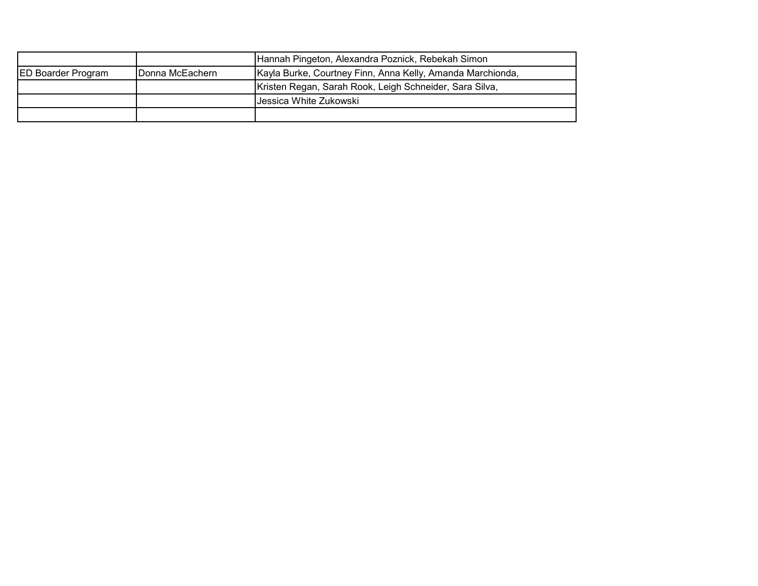|                           |                 | Hannah Pingeton, Alexandra Poznick, Rebekah Simon          |
|---------------------------|-----------------|------------------------------------------------------------|
| <b>ED Boarder Program</b> | Donna McEachern | Kayla Burke, Courtney Finn, Anna Kelly, Amanda Marchionda, |
|                           |                 | Kristen Regan, Sarah Rook, Leigh Schneider, Sara Silva,    |
|                           |                 | Jessica White Zukowski                                     |
|                           |                 |                                                            |